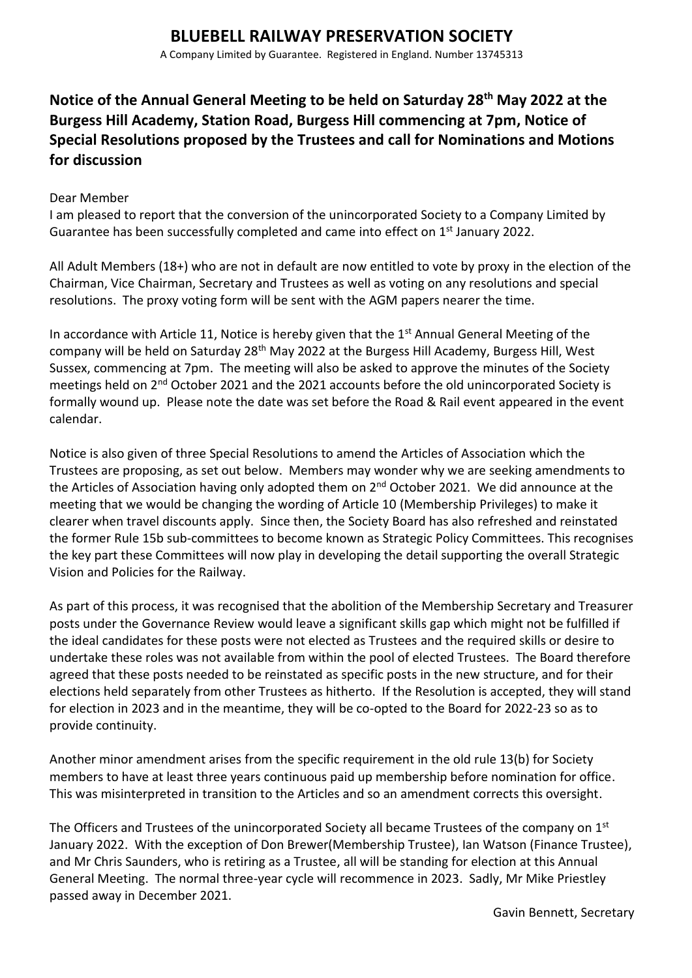A Company Limited by Guarantee. Registered in England. Number 13745313

# **Notice of the Annual General Meeting to be held on Saturday 28th May 2022 at the Burgess Hill Academy, Station Road, Burgess Hill commencing at 7pm, Notice of Special Resolutions proposed by the Trustees and call for Nominations and Motions for discussion**

### Dear Member

I am pleased to report that the conversion of the unincorporated Society to a Company Limited by Guarantee has been successfully completed and came into effect on 1<sup>st</sup> January 2022.

All Adult Members (18+) who are not in default are now entitled to vote by proxy in the election of the Chairman, Vice Chairman, Secretary and Trustees as well as voting on any resolutions and special resolutions. The proxy voting form will be sent with the AGM papers nearer the time.

In accordance with Article 11, Notice is hereby given that the  $1<sup>st</sup>$  Annual General Meeting of the company will be held on Saturday 28<sup>th</sup> May 2022 at the Burgess Hill Academy, Burgess Hill, West Sussex, commencing at 7pm. The meeting will also be asked to approve the minutes of the Society meetings held on 2<sup>nd</sup> October 2021 and the 2021 accounts before the old unincorporated Society is formally wound up. Please note the date was set before the Road & Rail event appeared in the event calendar.

Notice is also given of three Special Resolutions to amend the Articles of Association which the Trustees are proposing, as set out below. Members may wonder why we are seeking amendments to the Articles of Association having only adopted them on 2<sup>nd</sup> October 2021. We did announce at the meeting that we would be changing the wording of Article 10 (Membership Privileges) to make it clearer when travel discounts apply. Since then, the Society Board has also refreshed and reinstated the former Rule 15b sub-committees to become known as Strategic Policy Committees. This recognises the key part these Committees will now play in developing the detail supporting the overall Strategic Vision and Policies for the Railway.

As part of this process, it was recognised that the abolition of the Membership Secretary and Treasurer posts under the Governance Review would leave a significant skills gap which might not be fulfilled if the ideal candidates for these posts were not elected as Trustees and the required skills or desire to undertake these roles was not available from within the pool of elected Trustees. The Board therefore agreed that these posts needed to be reinstated as specific posts in the new structure, and for their elections held separately from other Trustees as hitherto. If the Resolution is accepted, they will stand for election in 2023 and in the meantime, they will be co-opted to the Board for 2022-23 so as to provide continuity.

Another minor amendment arises from the specific requirement in the old rule 13(b) for Society members to have at least three years continuous paid up membership before nomination for office. This was misinterpreted in transition to the Articles and so an amendment corrects this oversight.

The Officers and Trustees of the unincorporated Society all became Trustees of the company on 1<sup>st</sup> January 2022. With the exception of Don Brewer(Membership Trustee), Ian Watson (Finance Trustee), and Mr Chris Saunders, who is retiring as a Trustee, all will be standing for election at this Annual General Meeting. The normal three-year cycle will recommence in 2023. Sadly, Mr Mike Priestley passed away in December 2021.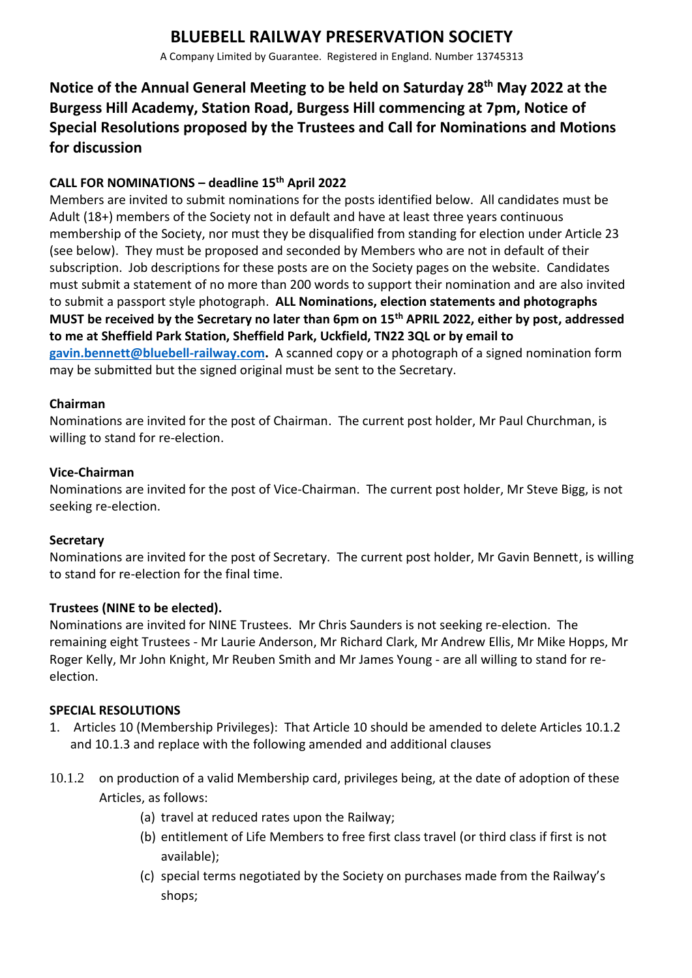# **BLUEBELL RAILWAY PRESERVATION SOCIETY**

A Company Limited by Guarantee. Registered in England. Number 13745313

# **Notice of the Annual General Meeting to be held on Saturday 28th May 2022 at the Burgess Hill Academy, Station Road, Burgess Hill commencing at 7pm, Notice of Special Resolutions proposed by the Trustees and Call for Nominations and Motions for discussion**

## **CALL FOR NOMINATIONS – deadline 15th April 2022**

Members are invited to submit nominations for the posts identified below. All candidates must be Adult (18+) members of the Society not in default and have at least three years continuous membership of the Society, nor must they be disqualified from standing for election under Article 23 (see below). They must be proposed and seconded by Members who are not in default of their subscription. Job descriptions for these posts are on the Society pages on the website. Candidates must submit a statement of no more than 200 words to support their nomination and are also invited to submit a passport style photograph. **ALL Nominations, election statements and photographs MUST be received by the Secretary no later than 6pm on 15th APRIL 2022, either by post, addressed to me at Sheffield Park Station, Sheffield Park, Uckfield, TN22 3QL or by email to [gavin.bennett@bluebell-railway.com.](mailto:gavin.bennett@bluebell-railway.com)** A scanned copy or a photograph of a signed nomination form may be submitted but the signed original must be sent to the Secretary.

### **Chairman**

Nominations are invited for the post of Chairman. The current post holder, Mr Paul Churchman, is willing to stand for re-election.

### **Vice-Chairman**

Nominations are invited for the post of Vice-Chairman. The current post holder, Mr Steve Bigg, is not seeking re-election.

#### **Secretary**

Nominations are invited for the post of Secretary. The current post holder, Mr Gavin Bennett, is willing to stand for re-election for the final time.

#### **Trustees (NINE to be elected).**

Nominations are invited for NINE Trustees. Mr Chris Saunders is not seeking re-election. The remaining eight Trustees - Mr Laurie Anderson, Mr Richard Clark, Mr Andrew Ellis, Mr Mike Hopps, Mr Roger Kelly, Mr John Knight, Mr Reuben Smith and Mr James Young - are all willing to stand for reelection.

#### **SPECIAL RESOLUTIONS**

- 1. Articles 10 (Membership Privileges): That Article 10 should be amended to delete Articles 10.1.2 and 10.1.3 and replace with the following amended and additional clauses
- 10.1.2 on production of a valid Membership card, privileges being, at the date of adoption of these Articles, as follows:
	- (a) travel at reduced rates upon the Railway;
	- (b) entitlement of Life Members to free first class travel (or third class if first is not available);
	- (c) special terms negotiated by the Society on purchases made from the Railway's shops;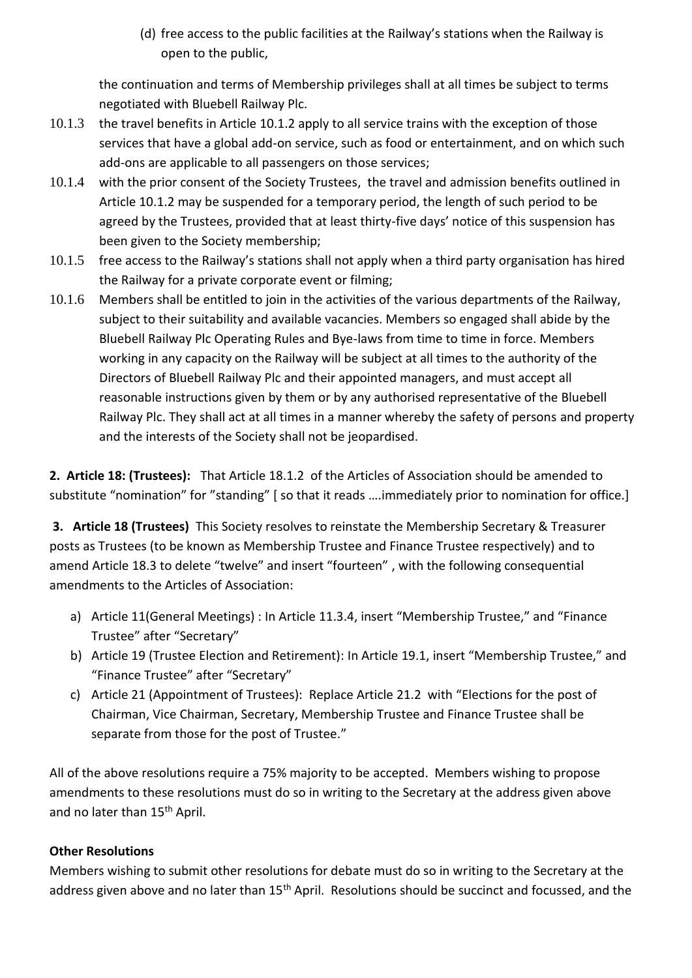(d) free access to the public facilities at the Railway's stations when the Railway is open to the public,

the continuation and terms of Membership privileges shall at all times be subject to terms negotiated with Bluebell Railway Plc.

- 10.1.3 the travel benefits in Article 10.1.2 apply to all service trains with the exception of those services that have a global add-on service, such as food or entertainment, and on which such add-ons are applicable to all passengers on those services;
- 10.1.4 with the prior consent of the Society Trustees, the travel and admission benefits outlined in Article 10.1.2 may be suspended for a temporary period, the length of such period to be agreed by the Trustees, provided that at least thirty-five days' notice of this suspension has been given to the Society membership;
- 10.1.5 free access to the Railway's stations shall not apply when a third party organisation has hired the Railway for a private corporate event or filming;
- 10.1.6 Members shall be entitled to join in the activities of the various departments of the Railway, subject to their suitability and available vacancies. Members so engaged shall abide by the Bluebell Railway Plc Operating Rules and Bye-laws from time to time in force. Members working in any capacity on the Railway will be subject at all times to the authority of the Directors of Bluebell Railway Plc and their appointed managers, and must accept all reasonable instructions given by them or by any authorised representative of the Bluebell Railway Plc. They shall act at all times in a manner whereby the safety of persons and property and the interests of the Society shall not be jeopardised.

**2. Article 18: (Trustees):** That Article 18.1.2 of the Articles of Association should be amended to substitute "nomination" for "standing" [ so that it reads ….immediately prior to nomination for office.]

**3. Article 18 (Trustees)** This Society resolves to reinstate the Membership Secretary & Treasurer posts as Trustees (to be known as Membership Trustee and Finance Trustee respectively) and to amend Article 18.3 to delete "twelve" and insert "fourteen" , with the following consequential amendments to the Articles of Association:

- a) Article 11(General Meetings) : In Article 11.3.4, insert "Membership Trustee," and "Finance Trustee" after "Secretary"
- b) Article 19 (Trustee Election and Retirement): In Article 19.1, insert "Membership Trustee," and "Finance Trustee" after "Secretary"
- c) Article 21 (Appointment of Trustees): Replace Article 21.2 with "Elections for the post of Chairman, Vice Chairman, Secretary, Membership Trustee and Finance Trustee shall be separate from those for the post of Trustee."

All of the above resolutions require a 75% majority to be accepted. Members wishing to propose amendments to these resolutions must do so in writing to the Secretary at the address given above and no later than 15<sup>th</sup> April.

## **Other Resolutions**

Members wishing to submit other resolutions for debate must do so in writing to the Secretary at the address given above and no later than 15<sup>th</sup> April. Resolutions should be succinct and focussed, and the